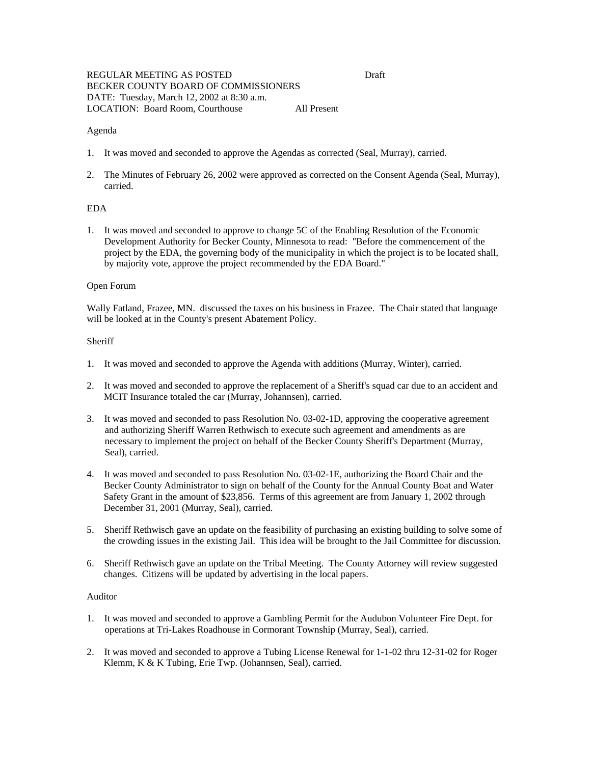# REGULAR MEETING AS POSTED Draft BECKER COUNTY BOARD OF COMMISSIONERS DATE: Tuesday, March 12, 2002 at 8:30 a.m. LOCATION: Board Room, Courthouse All Present

### Agenda

- 1. It was moved and seconded to approve the Agendas as corrected (Seal, Murray), carried.
- 2. The Minutes of February 26, 2002 were approved as corrected on the Consent Agenda (Seal, Murray), carried.

# EDA

1. It was moved and seconded to approve to change 5C of the Enabling Resolution of the Economic Development Authority for Becker County, Minnesota to read: "Before the commencement of the project by the EDA, the governing body of the municipality in which the project is to be located shall, by majority vote, approve the project recommended by the EDA Board."

#### Open Forum

Wally Fatland, Frazee, MN. discussed the taxes on his business in Frazee. The Chair stated that language will be looked at in the County's present Abatement Policy.

#### **Sheriff**

- 1. It was moved and seconded to approve the Agenda with additions (Murray, Winter), carried.
- 2. It was moved and seconded to approve the replacement of a Sheriff's squad car due to an accident and MCIT Insurance totaled the car (Murray, Johannsen), carried.
- 3. It was moved and seconded to pass Resolution No. 03-02-1D, approving the cooperative agreement and authorizing Sheriff Warren Rethwisch to execute such agreement and amendments as are necessary to implement the project on behalf of the Becker County Sheriff's Department (Murray, Seal), carried.
- 4. It was moved and seconded to pass Resolution No. 03-02-1E, authorizing the Board Chair and the Becker County Administrator to sign on behalf of the County for the Annual County Boat and Water Safety Grant in the amount of \$23,856. Terms of this agreement are from January 1, 2002 through December 31, 2001 (Murray, Seal), carried.
- 5. Sheriff Rethwisch gave an update on the feasibility of purchasing an existing building to solve some of the crowding issues in the existing Jail. This idea will be brought to the Jail Committee for discussion.
- 6. Sheriff Rethwisch gave an update on the Tribal Meeting. The County Attorney will review suggested changes. Citizens will be updated by advertising in the local papers.

## Auditor

- 1. It was moved and seconded to approve a Gambling Permit for the Audubon Volunteer Fire Dept. for operations at Tri-Lakes Roadhouse in Cormorant Township (Murray, Seal), carried.
- 2. It was moved and seconded to approve a Tubing License Renewal for 1-1-02 thru 12-31-02 for Roger Klemm, K & K Tubing, Erie Twp. (Johannsen, Seal), carried.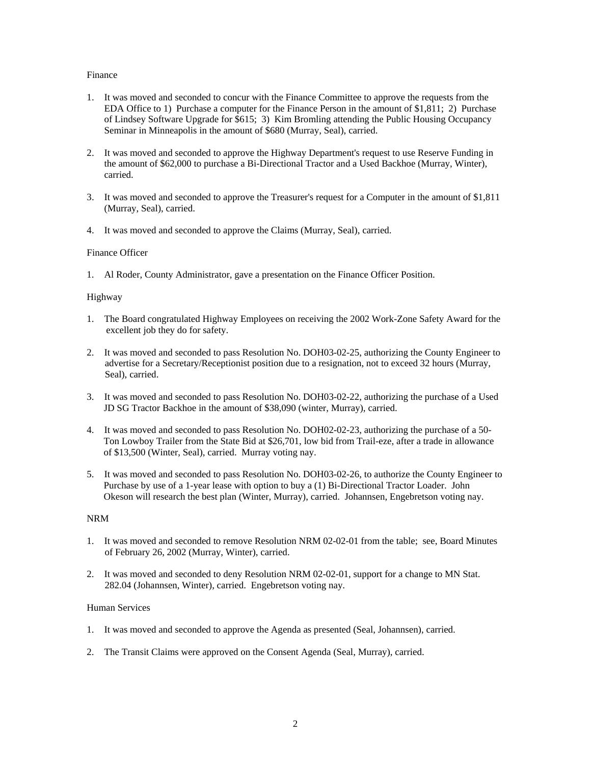### Finance

- 1. It was moved and seconded to concur with the Finance Committee to approve the requests from the EDA Office to 1) Purchase a computer for the Finance Person in the amount of \$1,811; 2) Purchase of Lindsey Software Upgrade for \$615; 3) Kim Bromling attending the Public Housing Occupancy Seminar in Minneapolis in the amount of \$680 (Murray, Seal), carried.
- 2. It was moved and seconded to approve the Highway Department's request to use Reserve Funding in the amount of \$62,000 to purchase a Bi-Directional Tractor and a Used Backhoe (Murray, Winter), carried.
- 3. It was moved and seconded to approve the Treasurer's request for a Computer in the amount of \$1,811 (Murray, Seal), carried.
- 4. It was moved and seconded to approve the Claims (Murray, Seal), carried.

# Finance Officer

1. Al Roder, County Administrator, gave a presentation on the Finance Officer Position.

# Highway

- 1. The Board congratulated Highway Employees on receiving the 2002 Work-Zone Safety Award for the excellent job they do for safety.
- 2. It was moved and seconded to pass Resolution No. DOH03-02-25, authorizing the County Engineer to advertise for a Secretary/Receptionist position due to a resignation, not to exceed 32 hours (Murray, Seal), carried.
- 3. It was moved and seconded to pass Resolution No. DOH03-02-22, authorizing the purchase of a Used JD SG Tractor Backhoe in the amount of \$38,090 (winter, Murray), carried.
- 4. It was moved and seconded to pass Resolution No. DOH02-02-23, authorizing the purchase of a 50- Ton Lowboy Trailer from the State Bid at \$26,701, low bid from Trail-eze, after a trade in allowance of \$13,500 (Winter, Seal), carried. Murray voting nay.
- 5. It was moved and seconded to pass Resolution No. DOH03-02-26, to authorize the County Engineer to Purchase by use of a 1-year lease with option to buy a (1) Bi-Directional Tractor Loader. John Okeson will research the best plan (Winter, Murray), carried. Johannsen, Engebretson voting nay.

### NRM

- 1. It was moved and seconded to remove Resolution NRM 02-02-01 from the table; see, Board Minutes of February 26, 2002 (Murray, Winter), carried.
- 2. It was moved and seconded to deny Resolution NRM 02-02-01, support for a change to MN Stat. 282.04 (Johannsen, Winter), carried. Engebretson voting nay.

### Human Services

- 1. It was moved and seconded to approve the Agenda as presented (Seal, Johannsen), carried.
- 2. The Transit Claims were approved on the Consent Agenda (Seal, Murray), carried.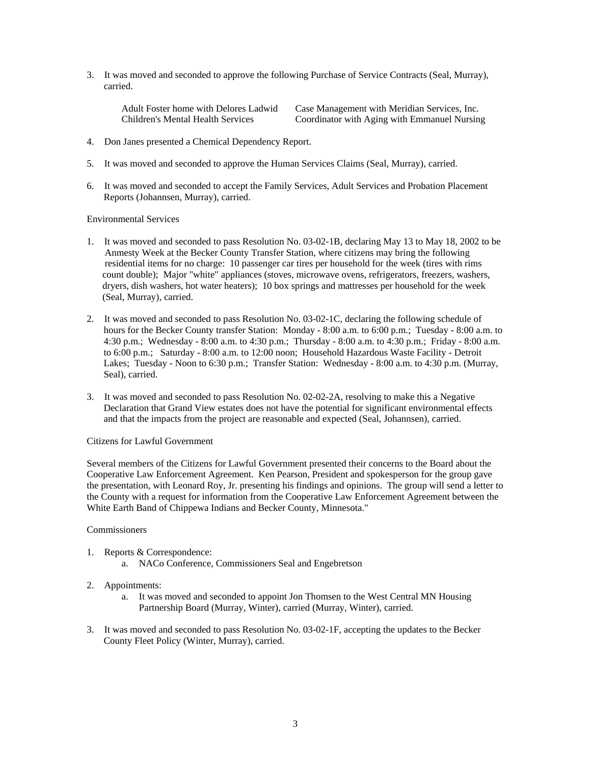3. It was moved and seconded to approve the following Purchase of Service Contracts (Seal, Murray), carried.

Adult Foster home with Delores Ladwid Case Management with Meridian Services, Inc. Children's Mental Health Services Coordinator with Aging with Emmanuel Nursing

- 4. Don Janes presented a Chemical Dependency Report.
- 5. It was moved and seconded to approve the Human Services Claims (Seal, Murray), carried.
- 6. It was moved and seconded to accept the Family Services, Adult Services and Probation Placement Reports (Johannsen, Murray), carried.

#### Environmental Services

- 1. It was moved and seconded to pass Resolution No. 03-02-1B, declaring May 13 to May 18, 2002 to be Anmesty Week at the Becker County Transfer Station, where citizens may bring the following residential items for no charge: 10 passenger car tires per household for the week (tires with rims count double); Major "white" appliances (stoves, microwave ovens, refrigerators, freezers, washers, dryers, dish washers, hot water heaters); 10 box springs and mattresses per household for the week (Seal, Murray), carried.
- 2. It was moved and seconded to pass Resolution No. 03-02-1C, declaring the following schedule of hours for the Becker County transfer Station: Monday - 8:00 a.m. to 6:00 p.m.; Tuesday - 8:00 a.m. to 4:30 p.m.; Wednesday - 8:00 a.m. to 4:30 p.m.; Thursday - 8:00 a.m. to 4:30 p.m.; Friday - 8:00 a.m. to 6:00 p.m.; Saturday - 8:00 a.m. to 12:00 noon; Household Hazardous Waste Facility - Detroit Lakes; Tuesday - Noon to 6:30 p.m.; Transfer Station: Wednesday - 8:00 a.m. to 4:30 p.m. (Murray, Seal), carried.
- 3. It was moved and seconded to pass Resolution No. 02-02-2A, resolving to make this a Negative Declaration that Grand View estates does not have the potential for significant environmental effects and that the impacts from the project are reasonable and expected (Seal, Johannsen), carried.

#### Citizens for Lawful Government

Several members of the Citizens for Lawful Government presented their concerns to the Board about the Cooperative Law Enforcement Agreement. Ken Pearson, President and spokesperson for the group gave the presentation, with Leonard Roy, Jr. presenting his findings and opinions. The group will send a letter to the County with a request for information from the Cooperative Law Enforcement Agreement between the White Earth Band of Chippewa Indians and Becker County, Minnesota."

### **Commissioners**

- 1. Reports & Correspondence:
	- a. NACo Conference, Commissioners Seal and Engebretson
- 2. Appointments:
	- a. It was moved and seconded to appoint Jon Thomsen to the West Central MN Housing Partnership Board (Murray, Winter), carried (Murray, Winter), carried.
- 3. It was moved and seconded to pass Resolution No. 03-02-1F, accepting the updates to the Becker County Fleet Policy (Winter, Murray), carried.